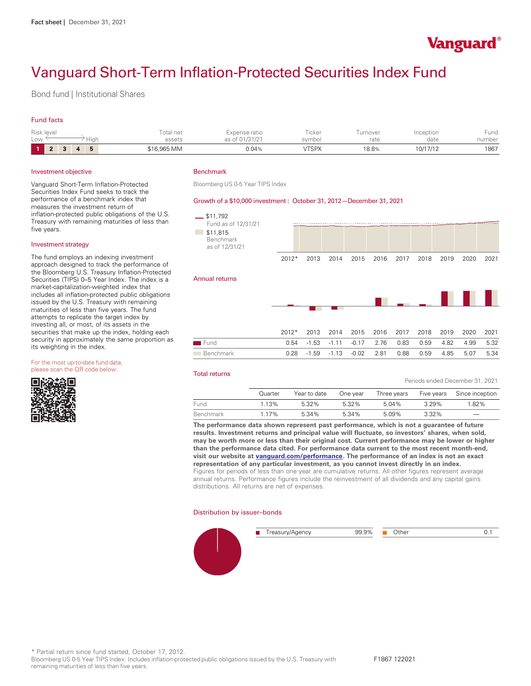

Periods ended December 31, 2021

# Vanguard Short-Term Inflation-Protected Securities Index Fund

Bond fund | Institutional Shares

# Fund facts

| Risk level<br>Low |  | Hıar | Total net<br>assets | Expense ratio<br>of 01/31/21 | <b>CONTRACTOR</b><br><b>ICKel</b><br>svmbol | $\frac{1}{2} \left( \frac{1}{2} \right) \left( \frac{1}{2} \right) \left( \frac{1}{2} \right) \left( \frac{1}{2} \right)$<br>urnover<br>rate | nception<br>date | ⊦und<br>number |
|-------------------|--|------|---------------------|------------------------------|---------------------------------------------|----------------------------------------------------------------------------------------------------------------------------------------------|------------------|----------------|
|                   |  | ь    | \$16,965 MM         | 0.04%                        | <b>/TSPX</b>                                | 18.8%                                                                                                                                        | 10/17/12         | 1867           |

#### Investment objective

Vanguard Short-Term Inflation-Protected Securities Index Fund seeks to track the performance of a benchmark index that measures the investment return of inflation-protected public obligations of the U.S. Treasury with remaining maturities of less than five years.

#### Investment strategy

The fund employs an indexing investment approach designed to track the performance of the Bloomberg U.S. Treasury Inflation-Protected<br>Securities (TIPS) 0-5 Year Index. The index is a market-capitalization-weighted index that includes all inflation-protected public obligations issued by the U.S. Treasury with remaining maturities of less than five years. The fund attempts to replicate the target index by investing all, or most, of its assets in the securities that make up the index, holding each security in approximately the same proportion as its weighting in the index.

For the most up-to-date fund data, please scan the QR code below.



# Benchmark

Bloomberg US 0-5 Year TIPS Index

#### Growth of a \$10,000 investment : October 31, 2012— December 31, 2021

| $-$ \$11,792<br>Fund as of 12/31/21<br>\$11,815<br><b>College</b><br>Benchmark<br>as of 12/31/21 |         |         |         |         |      |      |      |      |      |      |
|--------------------------------------------------------------------------------------------------|---------|---------|---------|---------|------|------|------|------|------|------|
|                                                                                                  | $2012*$ | 2013    | 2014    | 2015    | 2016 | 2017 | 2018 | 2019 | 2020 | 2021 |
| Annual returns                                                                                   |         |         |         |         |      |      |      |      |      |      |
|                                                                                                  | $2012*$ | 2013    | 2014    | 2015    | 2016 | 2017 | 2018 | 2019 | 2020 | 2021 |
| Fund                                                                                             | 0.54    | $-1.53$ | $-1.11$ | $-0.17$ | 2.76 | 0.83 | 0.59 | 4.82 | 4.99 | 5.32 |
| Benchmark                                                                                        | 0.28    | $-1.59$ | $-1.13$ | $-0.02$ | 2.81 | 0.88 | 0.59 | 4.85 | 5.07 | 5.34 |

#### Total returns

|           | Quarter | Year to date | One vear | Three years |       | Five years Since inception |  |  |
|-----------|---------|--------------|----------|-------------|-------|----------------------------|--|--|
| Fund      | 1.13%   | 5.32%        | 5.32%    | 5.04%       | 3.29% | 1.82%                      |  |  |
| Benchmark | 1.17%   | 5.34%        | 5.34%    | 5.09%       | 3.32% | $\overline{\phantom{m}}$   |  |  |

**The performance data shown represent past performance, which is not a guarantee of future results. Investment returns and principal value will fluctuate, so investors' shares, when sold, may be worth more or less than their original cost. Current performance may be lower or higher than the performance data cited. For performance data current to the most recent month-end, visit our website at [vanguard.com/performance .](http://www.vanguard.com/performance) The performance of an index is not an exact representation of any particular investment, as you cannot invest directly in an index.**  Figures for periods of less than one year are cumulative returns. All other figures represent average annual returns. Performance figures include the reinvestment of all dividends and any capital gains distributions. All returns are net of expenses.

#### Distribution by issuer–bonds